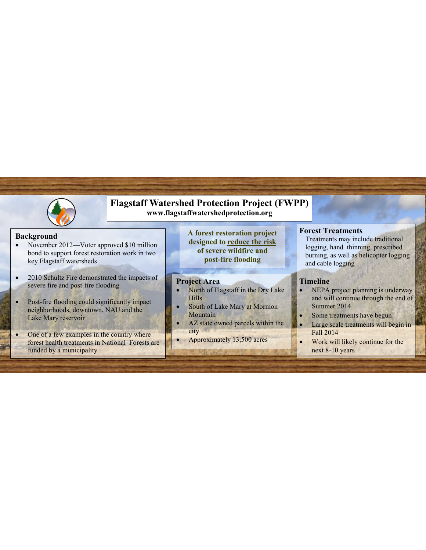

## **Flagstaff Watershed Protection Project (FWPP) www.flagstaffwatershedprotection.org**

#### **Background**

- November 2012—Voter approved \$10 million bond to support forest restoration work in two key Flagstaff watersheds
- 2010 Schultz Fire demonstrated the impacts of severe fire and post-fire flooding
- Post-fire flooding could significantly impact neighborhoods, downtown, NAU and the Lake Mary reservoir
- One of a few examples in the country where forest health treatments in National Forests are funded by a municipality

**A forest restoration project designed to reduce the risk of severe wildfire and post-fire flooding** 

#### **Project Area**

- North of Flagstaff in the Dry Lake Hills
- South of Lake Mary at Mormon **Mountain**
- AZ state owned parcels within the city
- Approximately 13,500 acres

#### **Forest Treatments**

Treatments may include traditional logging, hand thinning, prescribed burning, as well as helicopter logging and cable logging

### **Timeline**

- NEPA project planning is underway and will continue through the end of Summer 2014
- Some treatments have begun
- Large scale treatments will begin in Fall 2014
- Work will likely continue for the next 8-10 years